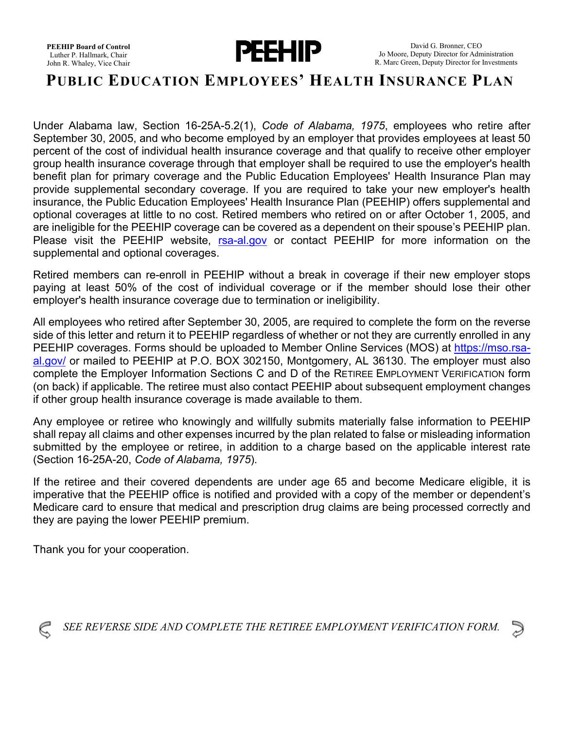

## **PUBLIC EDUCATION EMPLOYEES' HEALTH INSURANCE PLAN**

Under Alabama law, Section 16-25A-5.2(1), *Code of Alabama, 1975*, employees who retire after September 30, 2005, and who become employed by an employer that provides employees at least 50 percent of the cost of individual health insurance coverage and that qualify to receive other employer group health insurance coverage through that employer shall be required to use the employer's health benefit plan for primary coverage and the Public Education Employees' Health Insurance Plan may provide supplemental secondary coverage. If you are required to take your new employer's health insurance, the Public Education Employees' Health Insurance Plan (PEEHIP) offers supplemental and optional coverages at little to no cost. Retired members who retired on or after October 1, 2005, and are ineligible for the PEEHIP coverage can be covered as a dependent on their spouse's PEEHIP plan. Please visit the PEEHIP website, [rsa-al.gov](http://www.rsa-al.gov/) or contact PEEHIP for more information on the supplemental and optional coverages.

Retired members can re-enroll in PEEHIP without a break in coverage if their new employer stops paying at least 50% of the cost of individual coverage or if the member should lose their other employer's health insurance coverage due to termination or ineligibility.

All employees who retired after September 30, 2005, are required to complete the form on the reverse side of this letter and return it to PEEHIP regardless of whether or not they are currently enrolled in any PEEHIP coverages. Forms should be uploaded to Member Online Services (MOS) at [https://mso.rsa](https://mso.rsa-al.gov/)[al.gov/](https://mso.rsa-al.gov/) or mailed to PEEHIP at P.O. BOX 302150, Montgomery, AL 36130. The employer must also complete the Employer Information Sections C and D of the RETIREE EMPLOYMENT VERIFICATION form (on back) if applicable. The retiree must also contact PEEHIP about subsequent employment changes if other group health insurance coverage is made available to them.

Any employee or retiree who knowingly and willfully submits materially false information to PEEHIP shall repay all claims and other expenses incurred by the plan related to false or misleading information submitted by the employee or retiree, in addition to a charge based on the applicable interest rate (Section 16-25A-20, *Code of Alabama, 1975*).

If the retiree and their covered dependents are under age 65 and become Medicare eligible, it is imperative that the PEEHIP office is notified and provided with a copy of the member or dependent's Medicare card to ensure that medical and prescription drug claims are being processed correctly and they are paying the lower PEEHIP premium.

Thank you for your cooperation.



*SEE REVERSE SIDE AND COMPLETE THE RETIREE EMPLOYMENT VERIFICATION FORM.*